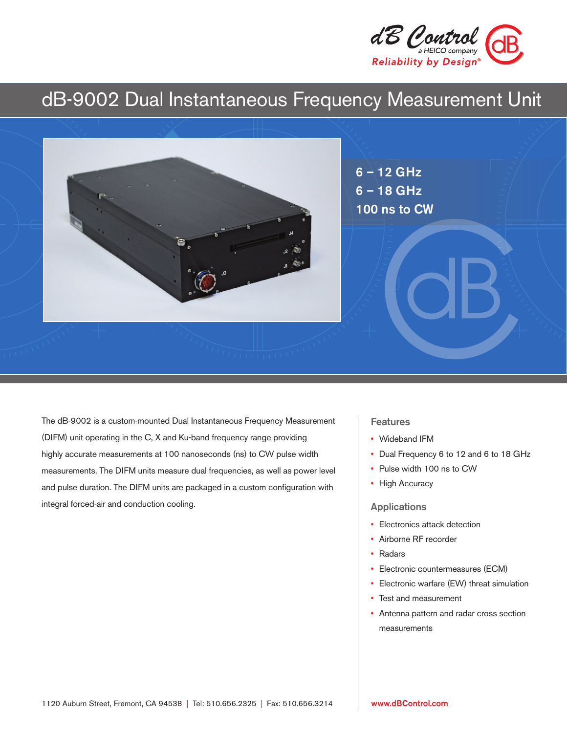

# dB-9002 Dual Instantaneous Frequency Measurement Unit



The dB-9002 is a custom-mounted Dual Instantaneous Frequency Measurement (DIFM) unit operating in the C, X and Ku-band frequency range providing highly accurate measurements at 100 nanoseconds (ns) to CW pulse width measurements. The DIFM units measure dual frequencies, as well as power level and pulse duration. The DIFM units are packaged in a custom configuration with integral forced-air and conduction cooling.

#### **Features**

- Wideband IFM
- Dual Frequency 6 to 12 and 6 to 18 GHz
- Pulse width 100 ns to CW
- High Accuracy

#### Applications

- Electronics attack detection
- Airborne RF recorder
- Radars
- Electronic countermeasures (ECM)
- Electronic warfare (EW) threat simulation
- Test and measurement
- Antenna pattern and radar cross section measurements